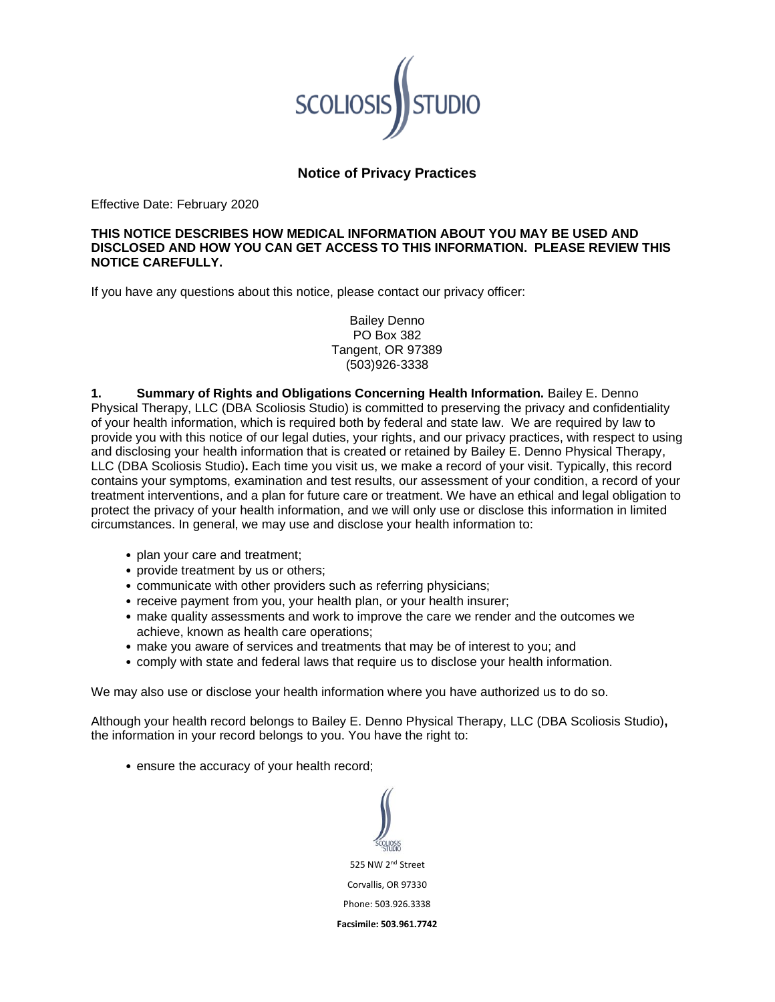

## **Notice of Privacy Practices**

Effective Date: February 2020

## **THIS NOTICE DESCRIBES HOW MEDICAL INFORMATION ABOUT YOU MAY BE USED AND DISCLOSED AND HOW YOU CAN GET ACCESS TO THIS INFORMATION. PLEASE REVIEW THIS NOTICE CAREFULLY.**

If you have any questions about this notice, please contact our privacy officer:

Bailey Denno PO Box 382 Tangent, OR 97389 (503)926-3338

**1. Summary of Rights and Obligations Concerning Health Information.** Bailey E. Denno Physical Therapy, LLC (DBA Scoliosis Studio) is committed to preserving the privacy and confidentiality of your health information, which is required both by federal and state law. We are required by law to provide you with this notice of our legal duties, your rights, and our privacy practices, with respect to using and disclosing your health information that is created or retained by Bailey E. Denno Physical Therapy, LLC (DBA Scoliosis Studio)**.** Each time you visit us, we make a record of your visit. Typically, this record contains your symptoms, examination and test results, our assessment of your condition, a record of your treatment interventions, and a plan for future care or treatment. We have an ethical and legal obligation to protect the privacy of your health information, and we will only use or disclose this information in limited circumstances. In general, we may use and disclose your health information to:

- plan your care and treatment;
- provide treatment by us or others;
- communicate with other providers such as referring physicians;
- receive payment from you, your health plan, or your health insurer;
- make quality assessments and work to improve the care we render and the outcomes we achieve, known as health care operations;
- make you aware of services and treatments that may be of interest to you; and
- comply with state and federal laws that require us to disclose your health information.

We may also use or disclose your health information where you have authorized us to do so.

Although your health record belongs to Bailey E. Denno Physical Therapy, LLC (DBA Scoliosis Studio)**,**  the information in your record belongs to you. You have the right to:

• ensure the accuracy of your health record;

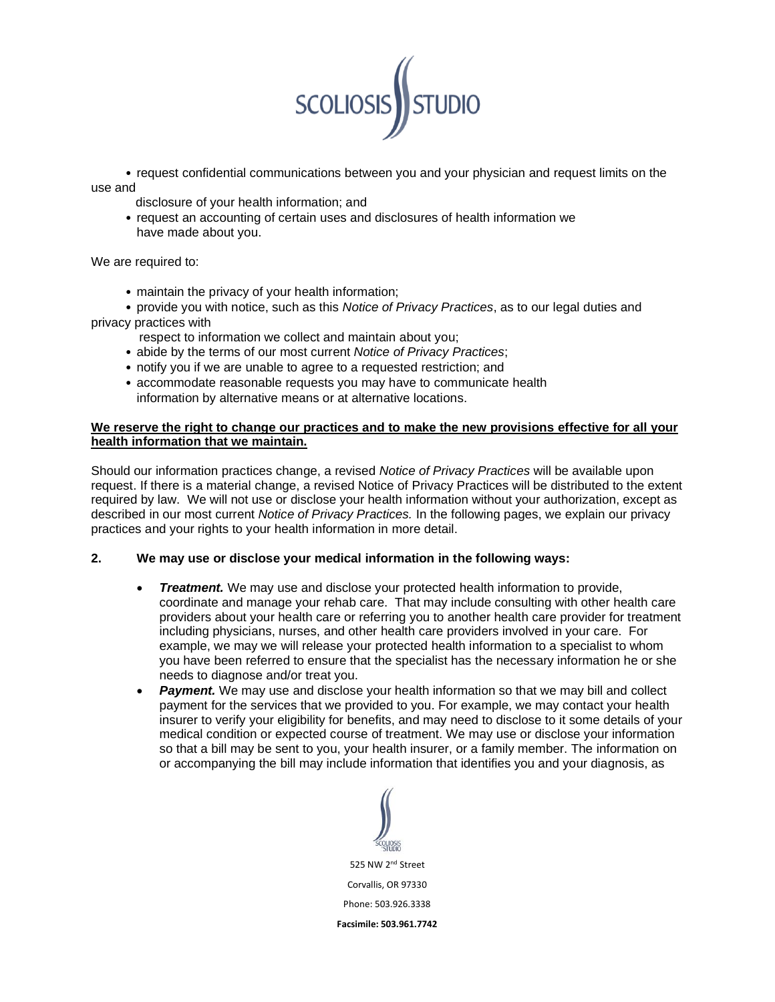

• request confidential communications between you and your physician and request limits on the use and

- disclosure of your health information; and
- request an accounting of certain uses and disclosures of health information we have made about you.

We are required to:

- maintain the privacy of your health information;
- provide you with notice, such as this *Notice of Privacy Practices*, as to our legal duties and privacy practices with
	- respect to information we collect and maintain about you;
	- abide by the terms of our most current *Notice of Privacy Practices*;
	- notify you if we are unable to agree to a requested restriction; and
	- accommodate reasonable requests you may have to communicate health information by alternative means or at alternative locations.

## **We reserve the right to change our practices and to make the new provisions effective for all your health information that we maintain.**

Should our information practices change, a revised *Notice of Privacy Practices* will be available upon request. If there is a material change, a revised Notice of Privacy Practices will be distributed to the extent required by law. We will not use or disclose your health information without your authorization, except as described in our most current *Notice of Privacy Practices.* In the following pages, we explain our privacy practices and your rights to your health information in more detail.

## **2. We may use or disclose your medical information in the following ways:**

- *Treatment.* We may use and disclose your protected health information to provide, coordinate and manage your rehab care. That may include consulting with other health care providers about your health care or referring you to another health care provider for treatment including physicians, nurses, and other health care providers involved in your care. For example, we may we will release your protected health information to a specialist to whom you have been referred to ensure that the specialist has the necessary information he or she needs to diagnose and/or treat you.
- **Payment.** We may use and disclose your health information so that we may bill and collect payment for the services that we provided to you. For example, we may contact your health insurer to verify your eligibility for benefits, and may need to disclose to it some details of your medical condition or expected course of treatment. We may use or disclose your information so that a bill may be sent to you, your health insurer, or a family member. The information on or accompanying the bill may include information that identifies you and your diagnosis, as

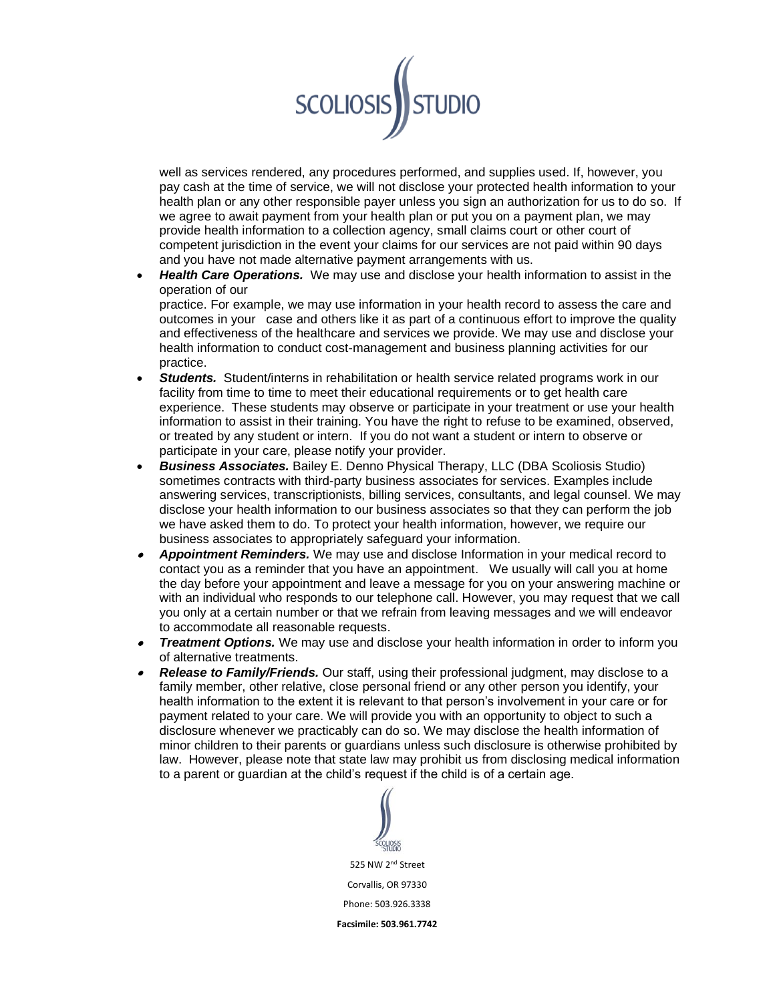

well as services rendered, any procedures performed, and supplies used. If, however, you pay cash at the time of service, we will not disclose your protected health information to your health plan or any other responsible payer unless you sign an authorization for us to do so. If we agree to await payment from your health plan or put you on a payment plan, we may provide health information to a collection agency, small claims court or other court of competent jurisdiction in the event your claims for our services are not paid within 90 days and you have not made alternative payment arrangements with us.

• *Health Care Operations.* We may use and disclose your health information to assist in the operation of our

practice. For example, we may use information in your health record to assess the care and outcomes in your case and others like it as part of a continuous effort to improve the quality and effectiveness of the healthcare and services we provide. We may use and disclose your health information to conduct cost-management and business planning activities for our practice.

- **Students.** Student/interns in rehabilitation or health service related programs work in our facility from time to time to meet their educational requirements or to get health care experience. These students may observe or participate in your treatment or use your health information to assist in their training. You have the right to refuse to be examined, observed, or treated by any student or intern. If you do not want a student or intern to observe or participate in your care, please notify your provider.
- *Business Associates.* Bailey E. Denno Physical Therapy, LLC (DBA Scoliosis Studio) sometimes contracts with third-party business associates for services. Examples include answering services, transcriptionists, billing services, consultants, and legal counsel. We may disclose your health information to our business associates so that they can perform the job we have asked them to do. To protect your health information, however, we require our business associates to appropriately safeguard your information.
- • *Appointment Reminders.* We may use and disclose Information in your medical record to contact you as a reminder that you have an appointment. We usually will call you at home the day before your appointment and leave a message for you on your answering machine or with an individual who responds to our telephone call. However, you may request that we call you only at a certain number or that we refrain from leaving messages and we will endeavor to accommodate all reasonable requests.
- • *Treatment Options.* We may use and disclose your health information in order to inform you of alternative treatments.
- • *Release to Family/Friends.* Our staff, using their professional judgment, may disclose to a family member, other relative, close personal friend or any other person you identify, your health information to the extent it is relevant to that person's involvement in your care or for payment related to your care. We will provide you with an opportunity to object to such a disclosure whenever we practicably can do so. We may disclose the health information of minor children to their parents or guardians unless such disclosure is otherwise prohibited by law. However, please note that state law may prohibit us from disclosing medical information to a parent or guardian at the child's request if the child is of a certain age.

525 NW 2nd Street Corvallis, OR 97330 Phone: 503.926.3338 **Facsimile: 503.961.7742**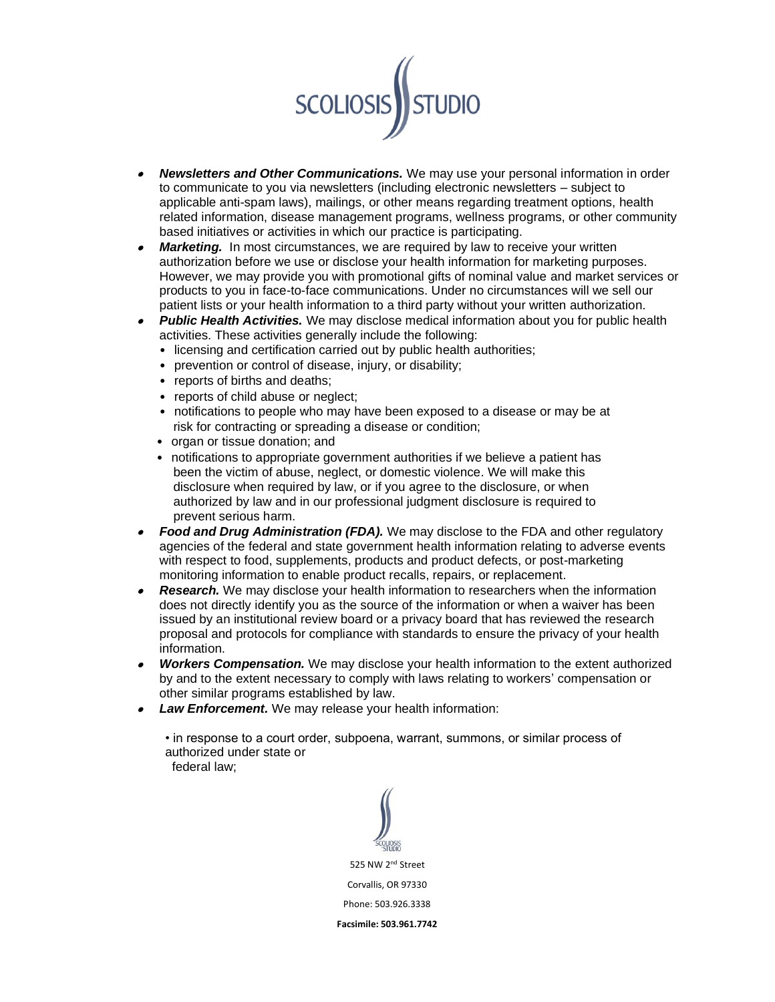

- • *Newsletters and Other Communications.* We may use your personal information in order to communicate to you via newsletters (including electronic newsletters – subject to applicable anti-spam laws), mailings, or other means regarding treatment options, health related information, disease management programs, wellness programs, or other community based initiatives or activities in which our practice is participating.
- •*Marketing.* In most circumstances, we are required by law to receive your written authorization before we use or disclose your health information for marketing purposes. However, we may provide you with promotional gifts of nominal value and market services or products to you in face-to-face communications. Under no circumstances will we sell our patient lists or your health information to a third party without your written authorization.
- • *Public Health Activities.* We may disclose medical information about you for public health activities. These activities generally include the following:
	- licensing and certification carried out by public health authorities;
	- prevention or control of disease, injury, or disability;
	- reports of births and deaths;
	- reports of child abuse or neglect;
	- notifications to people who may have been exposed to a disease or may be at risk for contracting or spreading a disease or condition;
	- organ or tissue donation: and
	- notifications to appropriate government authorities if we believe a patient has been the victim of abuse, neglect, or domestic violence. We will make this disclosure when required by law, or if you agree to the disclosure, or when authorized by law and in our professional judgment disclosure is required to prevent serious harm.
- • *Food and Drug Administration (FDA).* We may disclose to the FDA and other regulatory agencies of the federal and state government health information relating to adverse events with respect to food, supplements, products and product defects, or post-marketing monitoring information to enable product recalls, repairs, or replacement.
- •**Research.** We may disclose your health information to researchers when the information does not directly identify you as the source of the information or when a waiver has been issued by an institutional review board or a privacy board that has reviewed the research proposal and protocols for compliance with standards to ensure the privacy of your health information.
- • *Workers Compensation.* We may disclose your health information to the extent authorized by and to the extent necessary to comply with laws relating to workers' compensation or other similar programs established by law.
- *Law Enforcement.* We may release your health information:

• in response to a court order, subpoena, warrant, summons, or similar process of authorized under state or federal law;

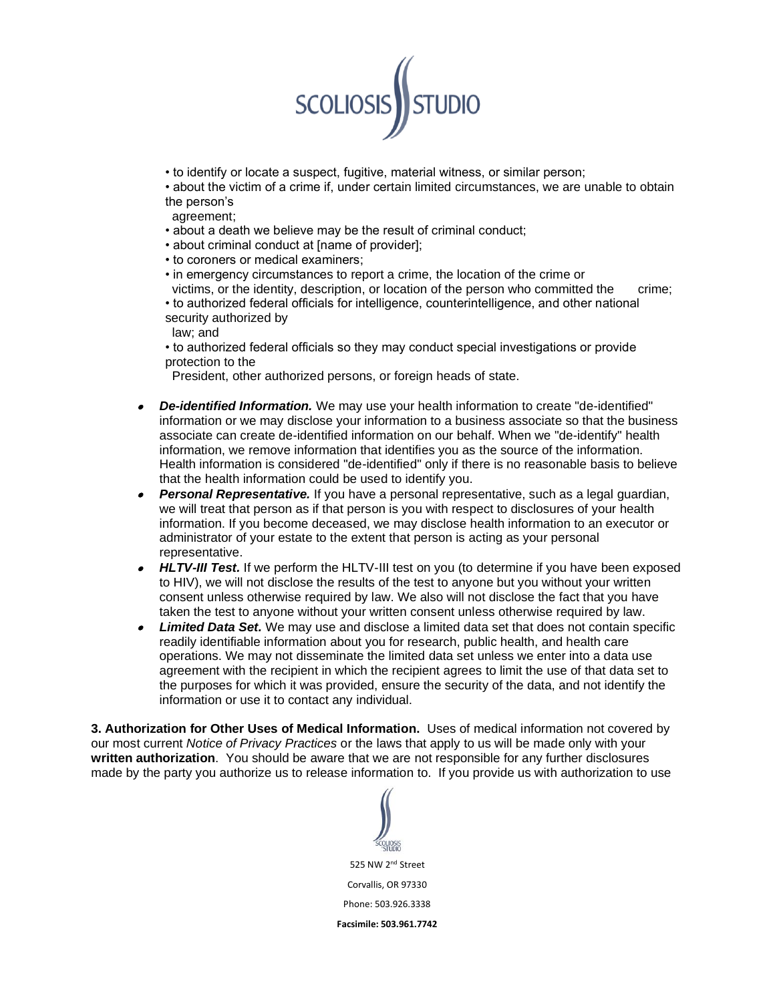

• to identify or locate a suspect, fugitive, material witness, or similar person;

• about the victim of a crime if, under certain limited circumstances, we are unable to obtain the person's

- agreement;
- about a death we believe may be the result of criminal conduct;
- about criminal conduct at [name of provider];
- to coroners or medical examiners;
- in emergency circumstances to report a crime, the location of the crime or victims, or the identity, description, or location of the person who committed the crime;

• to authorized federal officials for intelligence, counterintelligence, and other national security authorized by

law; and

• to authorized federal officials so they may conduct special investigations or provide protection to the

President, other authorized persons, or foreign heads of state.

- *De-identified Information.* We may use your health information to create "de-identified" information or we may disclose your information to a business associate so that the business associate can create de-identified information on our behalf. When we "de-identify" health information, we remove information that identifies you as the source of the information. Health information is considered "de-identified" only if there is no reasonable basis to believe that the health information could be used to identify you.
- • *Personal Representative.* If you have a personal representative, such as a legal guardian, we will treat that person as if that person is you with respect to disclosures of your health information. If you become deceased, we may disclose health information to an executor or administrator of your estate to the extent that person is acting as your personal representative.
- *HLTV-III Test.* If we perform the HLTV-III test on you (to determine if you have been exposed to HIV), we will not disclose the results of the test to anyone but you without your written consent unless otherwise required by law. We also will not disclose the fact that you have taken the test to anyone without your written consent unless otherwise required by law.
- • *Limited Data Set.* We may use and disclose a limited data set that does not contain specific readily identifiable information about you for research, public health, and health care operations. We may not disseminate the limited data set unless we enter into a data use agreement with the recipient in which the recipient agrees to limit the use of that data set to the purposes for which it was provided, ensure the security of the data, and not identify the information or use it to contact any individual.

**3. Authorization for Other Uses of Medical Information.** Uses of medical information not covered by our most current *Notice of Privacy Practices* or the laws that apply to us will be made only with your **written authorization**. You should be aware that we are not responsible for any further disclosures made by the party you authorize us to release information to. If you provide us with authorization to use

525 NW 2nd Street Corvallis, OR 97330 Phone: 503.926.3338 **Facsimile: 503.961.7742**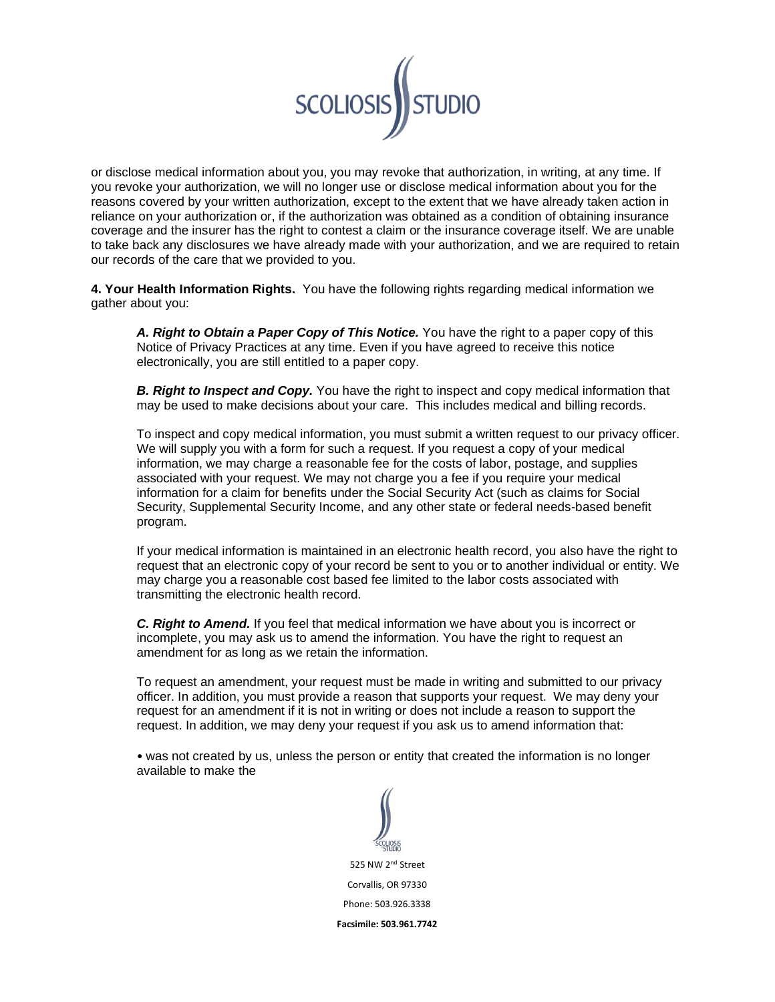

or disclose medical information about you, you may revoke that authorization, in writing, at any time. If you revoke your authorization, we will no longer use or disclose medical information about you for the reasons covered by your written authorization, except to the extent that we have already taken action in reliance on your authorization or, if the authorization was obtained as a condition of obtaining insurance coverage and the insurer has the right to contest a claim or the insurance coverage itself. We are unable to take back any disclosures we have already made with your authorization, and we are required to retain our records of the care that we provided to you.

**4. Your Health Information Rights.** You have the following rights regarding medical information we gather about you:

*A. Right to Obtain a Paper Copy of This Notice.* You have the right to a paper copy of this Notice of Privacy Practices at any time. Even if you have agreed to receive this notice electronically, you are still entitled to a paper copy.

**B. Right to Inspect and Copy.** You have the right to inspect and copy medical information that may be used to make decisions about your care. This includes medical and billing records.

To inspect and copy medical information, you must submit a written request to our privacy officer. We will supply you with a form for such a request. If you request a copy of your medical information, we may charge a reasonable fee for the costs of labor, postage, and supplies associated with your request. We may not charge you a fee if you require your medical information for a claim for benefits under the Social Security Act (such as claims for Social Security, Supplemental Security Income, and any other state or federal needs-based benefit program.

If your medical information is maintained in an electronic health record, you also have the right to request that an electronic copy of your record be sent to you or to another individual or entity. We may charge you a reasonable cost based fee limited to the labor costs associated with transmitting the electronic health record.

*C. Right to Amend.* If you feel that medical information we have about you is incorrect or incomplete, you may ask us to amend the information. You have the right to request an amendment for as long as we retain the information.

To request an amendment, your request must be made in writing and submitted to our privacy officer. In addition, you must provide a reason that supports your request. We may deny your request for an amendment if it is not in writing or does not include a reason to support the request. In addition, we may deny your request if you ask us to amend information that:

• was not created by us, unless the person or entity that created the information is no longer available to make the

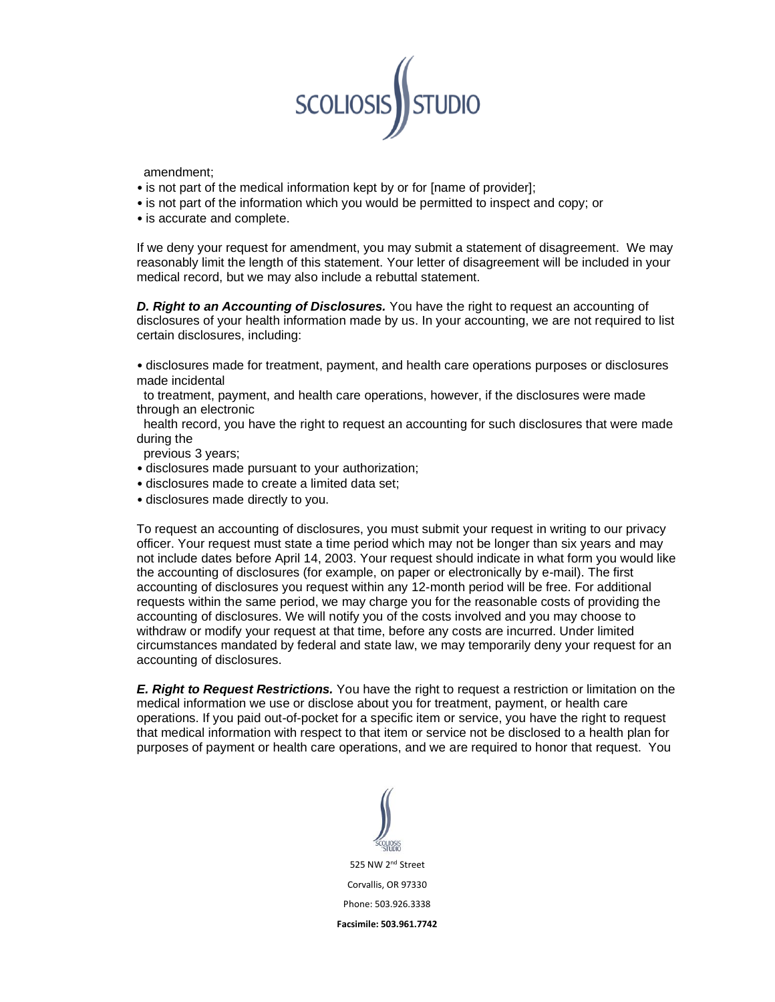

amendment;

- is not part of the medical information kept by or for [name of provider];
- is not part of the information which you would be permitted to inspect and copy; or
- is accurate and complete.

If we deny your request for amendment, you may submit a statement of disagreement. We may reasonably limit the length of this statement. Your letter of disagreement will be included in your medical record, but we may also include a rebuttal statement.

*D. Right to an Accounting of Disclosures.* You have the right to request an accounting of disclosures of your health information made by us. In your accounting, we are not required to list certain disclosures, including:

• disclosures made for treatment, payment, and health care operations purposes or disclosures made incidental

 to treatment, payment, and health care operations, however, if the disclosures were made through an electronic

 health record, you have the right to request an accounting for such disclosures that were made during the

previous 3 years;

- disclosures made pursuant to your authorization;
- disclosures made to create a limited data set;
- disclosures made directly to you.

To request an accounting of disclosures, you must submit your request in writing to our privacy officer. Your request must state a time period which may not be longer than six years and may not include dates before April 14, 2003. Your request should indicate in what form you would like the accounting of disclosures (for example, on paper or electronically by e-mail). The first accounting of disclosures you request within any 12-month period will be free. For additional requests within the same period, we may charge you for the reasonable costs of providing the accounting of disclosures. We will notify you of the costs involved and you may choose to withdraw or modify your request at that time, before any costs are incurred. Under limited circumstances mandated by federal and state law, we may temporarily deny your request for an accounting of disclosures.

*E. Right to Request Restrictions.* You have the right to request a restriction or limitation on the medical information we use or disclose about you for treatment, payment, or health care operations. If you paid out-of-pocket for a specific item or service, you have the right to request that medical information with respect to that item or service not be disclosed to a health plan for purposes of payment or health care operations, and we are required to honor that request. You

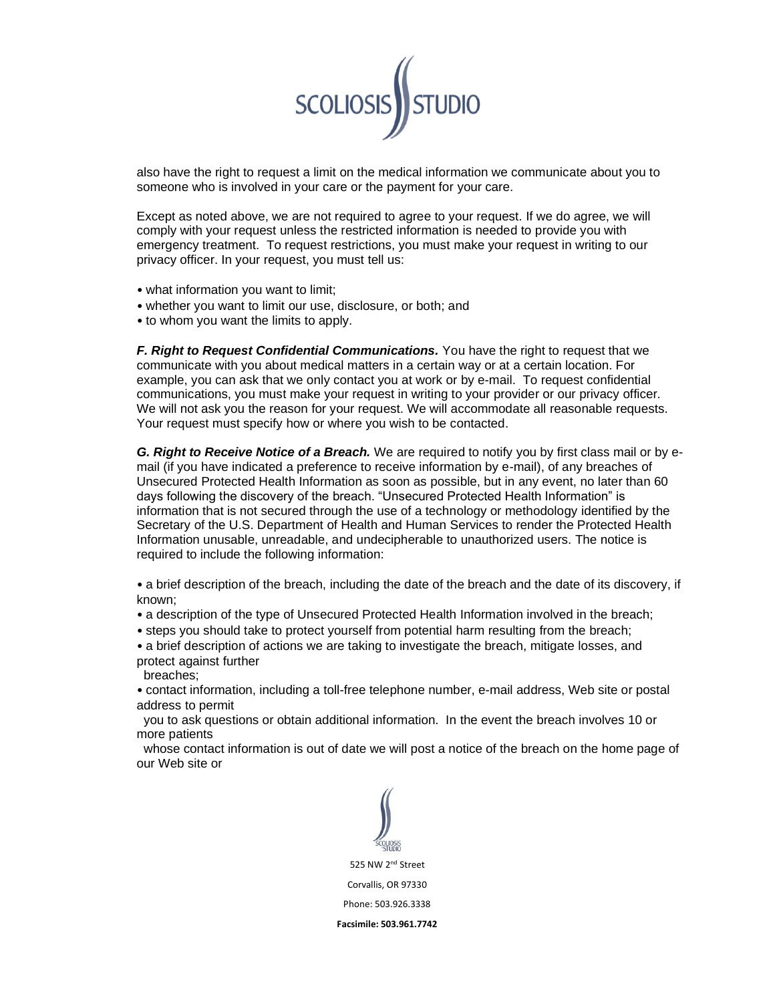

also have the right to request a limit on the medical information we communicate about you to someone who is involved in your care or the payment for your care.

Except as noted above, we are not required to agree to your request. If we do agree, we will comply with your request unless the restricted information is needed to provide you with emergency treatment. To request restrictions, you must make your request in writing to our privacy officer. In your request, you must tell us:

- what information you want to limit;
- whether you want to limit our use, disclosure, or both; and
- to whom you want the limits to apply.

*F. Right to Request Confidential Communications.* You have the right to request that we communicate with you about medical matters in a certain way or at a certain location. For example, you can ask that we only contact you at work or by e-mail. To request confidential communications, you must make your request in writing to your provider or our privacy officer. We will not ask you the reason for your request. We will accommodate all reasonable requests. Your request must specify how or where you wish to be contacted.

*G. Right to Receive Notice of a Breach.* We are required to notify you by first class mail or by email (if you have indicated a preference to receive information by e-mail), of any breaches of Unsecured Protected Health Information as soon as possible, but in any event, no later than 60 days following the discovery of the breach. "Unsecured Protected Health Information" is information that is not secured through the use of a technology or methodology identified by the Secretary of the U.S. Department of Health and Human Services to render the Protected Health Information unusable, unreadable, and undecipherable to unauthorized users. The notice is required to include the following information:

• a brief description of the breach, including the date of the breach and the date of its discovery, if known;

- a description of the type of Unsecured Protected Health Information involved in the breach;
- steps you should take to protect yourself from potential harm resulting from the breach;

• a brief description of actions we are taking to investigate the breach, mitigate losses, and protect against further

breaches;

• contact information, including a toll-free telephone number, e-mail address, Web site or postal address to permit

 you to ask questions or obtain additional information. In the event the breach involves 10 or more patients

 whose contact information is out of date we will post a notice of the breach on the home page of our Web site or